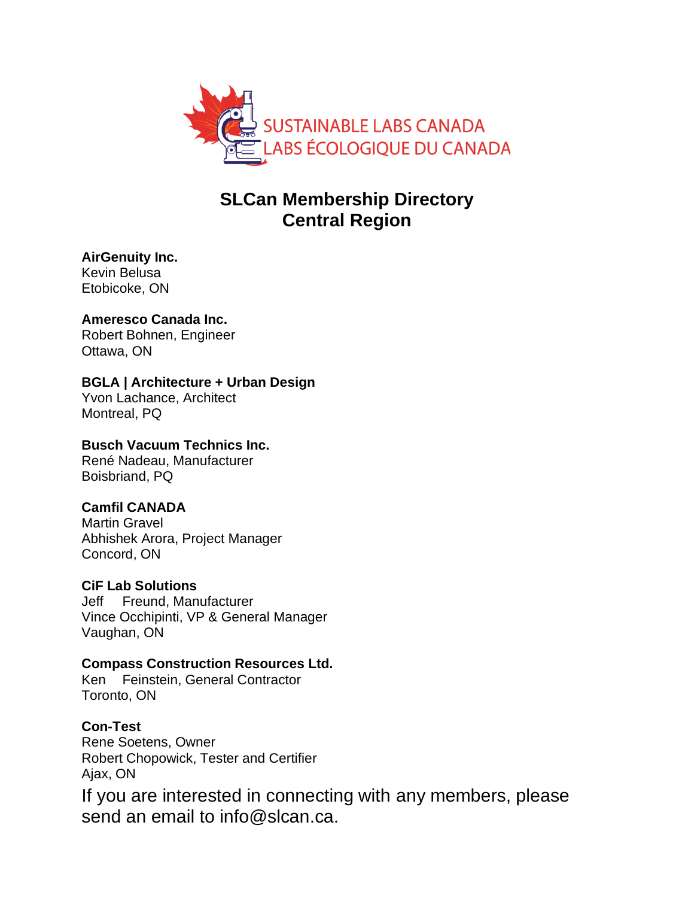

# **SLCan Membership Directory Central Region**

**AirGenuity Inc.** Kevin Belusa Etobicoke, ON

# **Ameresco Canada Inc.**

Robert Bohnen, Engineer Ottawa, ON

# **BGLA | Architecture + Urban Design**

Yvon Lachance, Architect Montreal, PQ

# **Busch Vacuum Technics Inc.**

René Nadeau, Manufacturer Boisbriand, PQ

# **Camfil CANADA**

Martin Gravel Abhishek Arora, Project Manager Concord, ON

# **CiF Lab Solutions**

Jeff Freund, Manufacturer Vince Occhipinti, VP & General Manager Vaughan, ON

# **Compass Construction Resources Ltd.**

Ken Feinstein, General Contractor Toronto, ON

**Con-Test** Rene Soetens, Owner Robert Chopowick, Tester and Certifier Ajax, ON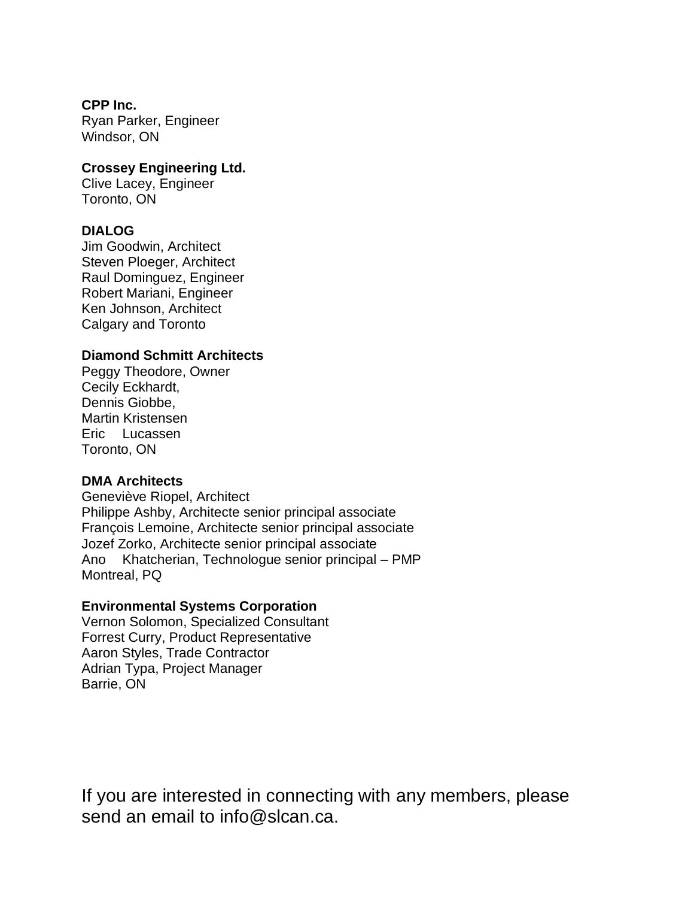# **CPP Inc.**

Ryan Parker, Engineer Windsor, ON

#### **Crossey Engineering Ltd.**

Clive Lacey, Engineer Toronto, ON

### **DIALOG**

Jim Goodwin, Architect Steven Ploeger, Architect Raul Dominguez, Engineer Robert Mariani, Engineer Ken Johnson, Architect Calgary and Toronto

### **Diamond Schmitt Architects**

Peggy Theodore, Owner Cecily Eckhardt, Dennis Giobbe, Martin Kristensen Eric Lucassen Toronto, ON

#### **DMA Architects**

Geneviève Riopel, Architect Philippe Ashby, Architecte senior principal associate François Lemoine, Architecte senior principal associate Jozef Zorko, Architecte senior principal associate Ano Khatcherian, Technologue senior principal – PMP Montreal, PQ

# **Environmental Systems Corporation**

Vernon Solomon, Specialized Consultant Forrest Curry, Product Representative Aaron Styles, Trade Contractor Adrian Typa, Project Manager Barrie, ON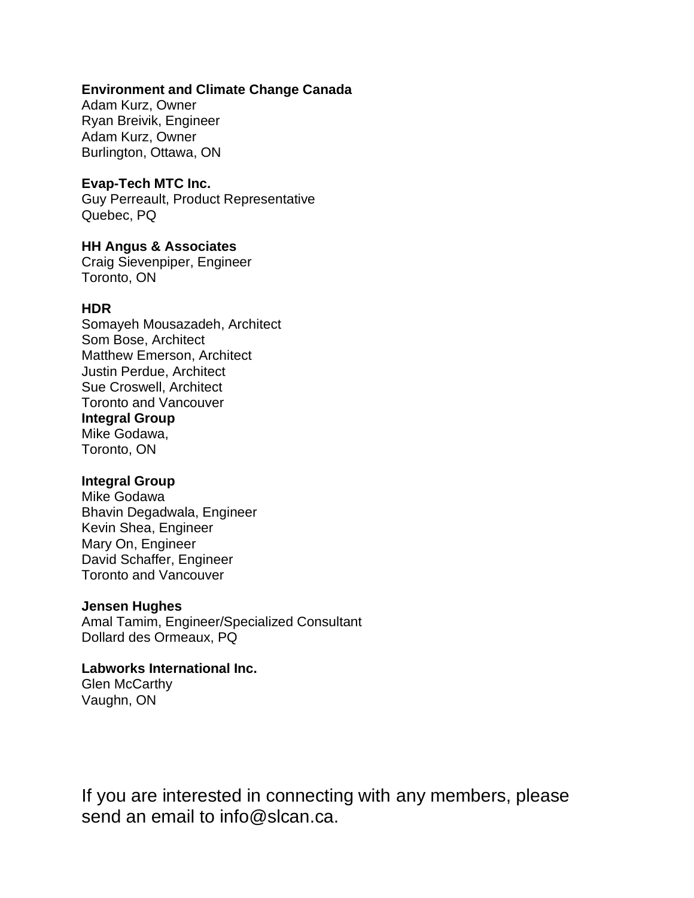# **Environment and Climate Change Canada**

Adam Kurz, Owner Ryan Breivik, Engineer Adam Kurz, Owner Burlington, Ottawa, ON

### **Evap-Tech MTC Inc.**

Guy Perreault, Product Representative Quebec, PQ

# **HH Angus & Associates**

Craig Sievenpiper, Engineer Toronto, ON

### **HDR**

Somayeh Mousazadeh, Architect Som Bose, Architect Matthew Emerson, Architect Justin Perdue, Architect Sue Croswell, Architect Toronto and Vancouver **Integral Group** Mike Godawa, Toronto, ON

# **Integral Group**

Mike Godawa Bhavin Degadwala, Engineer Kevin Shea, Engineer Mary On, Engineer David Schaffer, Engineer Toronto and Vancouver

# **Jensen Hughes**

Amal Tamim, Engineer/Specialized Consultant Dollard des Ormeaux, PQ

# **Labworks International Inc.**

Glen McCarthy Vaughn, ON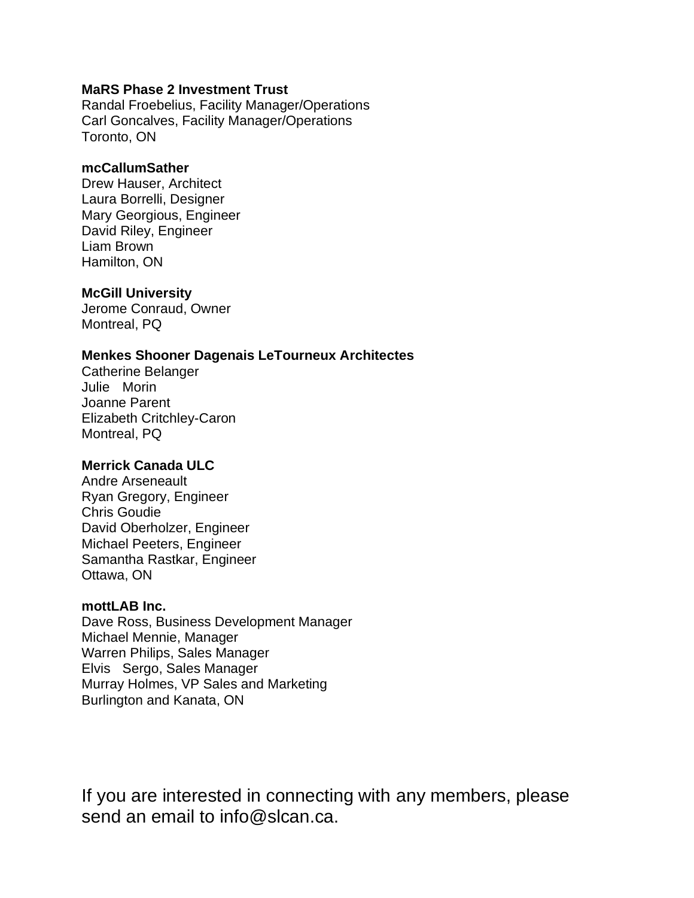## **MaRS Phase 2 Investment Trust**

Randal Froebelius, Facility Manager/Operations Carl Goncalves, Facility Manager/Operations Toronto, ON

#### **mcCallumSather**

Drew Hauser, Architect Laura Borrelli, Designer Mary Georgious, Engineer David Riley, Engineer Liam Brown Hamilton, ON

# **McGill University**

Jerome Conraud, Owner Montreal, PQ

### **Menkes Shooner Dagenais LeTourneux Architectes**

Catherine Belanger Julie Morin Joanne Parent Elizabeth Critchley-Caron Montreal, PQ

# **Merrick Canada ULC**

Andre Arseneault Ryan Gregory, Engineer Chris Goudie David Oberholzer, Engineer Michael Peeters, Engineer Samantha Rastkar, Engineer Ottawa, ON

#### **mottLAB Inc.**

Dave Ross, Business Development Manager Michael Mennie, Manager Warren Philips, Sales Manager Elvis Sergo, Sales Manager Murray Holmes, VP Sales and Marketing Burlington and Kanata, ON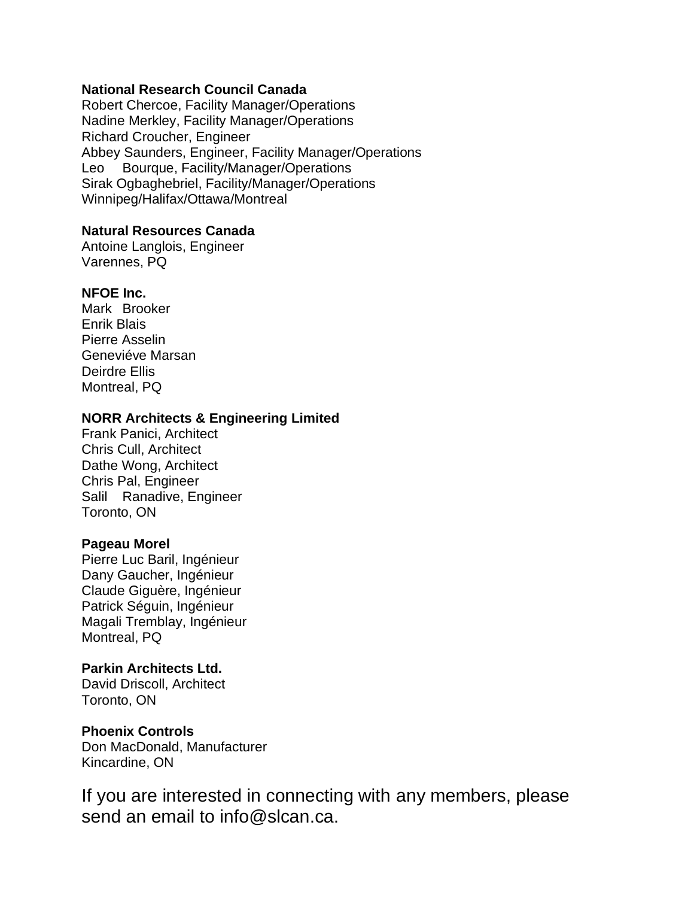#### **National Research Council Canada**

Robert Chercoe, Facility Manager/Operations Nadine Merkley, Facility Manager/Operations Richard Croucher, Engineer Abbey Saunders, Engineer, Facility Manager/Operations Leo Bourque, Facility/Manager/Operations Sirak Ogbaghebriel, Facility/Manager/Operations Winnipeg/Halifax/Ottawa/Montreal

#### **Natural Resources Canada**

Antoine Langlois, Engineer Varennes, PQ

### **NFOE Inc.**

Mark Brooker Enrik Blais Pierre Asselin Geneviéve Marsan Deirdre Ellis Montreal, PQ

### **NORR Architects & Engineering Limited**

Frank Panici, Architect Chris Cull, Architect Dathe Wong, Architect Chris Pal, Engineer Salil Ranadive, Engineer Toronto, ON

#### **Pageau Morel**

Pierre Luc Baril, Ingénieur Dany Gaucher, Ingénieur Claude Giguère, Ingénieur Patrick Séguin, Ingénieur Magali Tremblay, Ingénieur Montreal, PQ

# **Parkin Architects Ltd.**

David Driscoll, Architect Toronto, ON

### **Phoenix Controls**

Don MacDonald, Manufacturer Kincardine, ON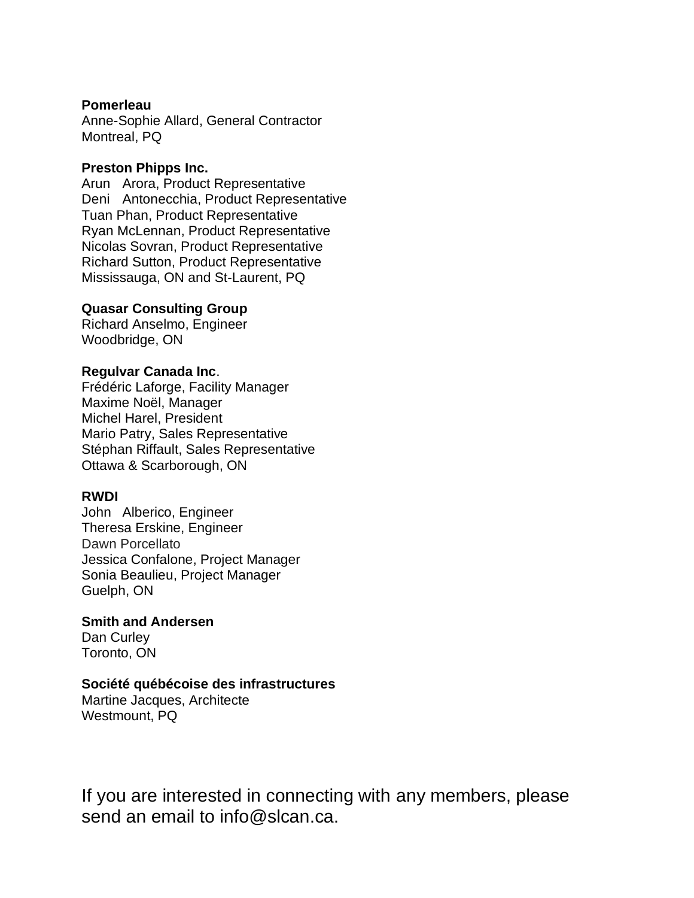#### **Pomerleau**

Anne-Sophie Allard, General Contractor Montreal, PQ

#### **Preston Phipps Inc.**

Arun Arora, Product Representative Deni Antonecchia, Product Representative Tuan Phan, Product Representative Ryan McLennan, Product Representative Nicolas Sovran, Product Representative Richard Sutton, Product Representative Mississauga, ON and St-Laurent, PQ

#### **Quasar Consulting Group**

Richard Anselmo, Engineer Woodbridge, ON

#### **Regulvar Canada Inc**.

Frédéric Laforge, Facility Manager Maxime Noël, Manager Michel Harel, President Mario Patry, Sales Representative Stéphan Riffault, Sales Representative Ottawa & Scarborough, ON

#### **RWDI**

John Alberico, Engineer Theresa Erskine, Engineer Dawn Porcellato Jessica Confalone, Project Manager Sonia Beaulieu, Project Manager Guelph, ON

#### **Smith and Andersen**

Dan Curley Toronto, ON

#### **Société québécoise des infrastructures**

Martine Jacques, Architecte Westmount, PQ